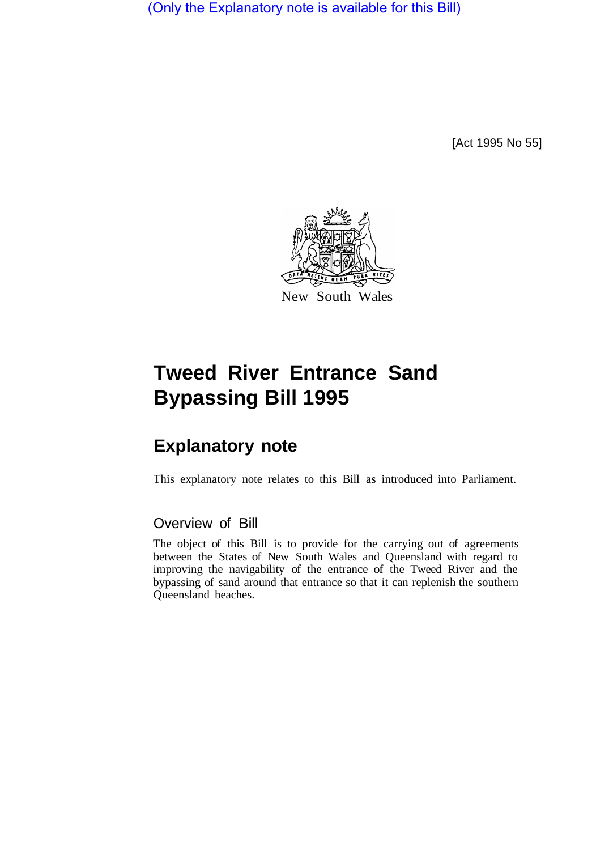(Only the Explanatory note is available for this Bill)

[Act 1995 No 55]



# **Tweed River Entrance Sand Bypassing Bill 1995**

# **Explanatory note**

This explanatory note relates to this Bill as introduced into Parliament.

# Overview of Bill

The object of this Bill is to provide for the carrying out of agreements between the States of New South Wales and Queensland with regard to improving the navigability of the entrance of the Tweed River and the bypassing of sand around that entrance so that it can replenish the southern Queensland beaches.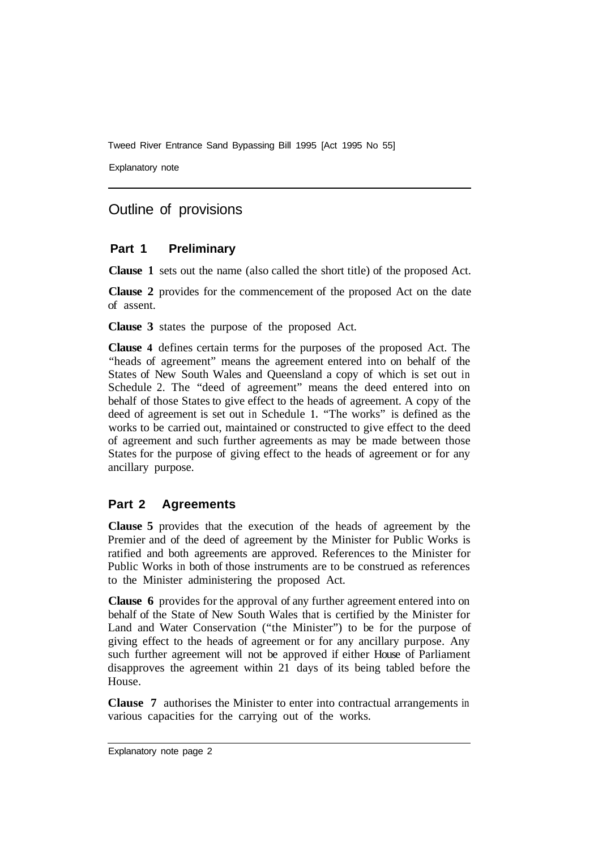Tweed River Entrance Sand Bypassing Bill 1995 [Act 1995 No 55]

Explanatory note

# Outline of provisions

#### **Part 1 Preliminary**

**Clause 1** sets out the name (also called the short title) of the proposed Act.

**Clause 2** provides for the commencement of the proposed Act on the date of assent.

**Clause 3** states the purpose of the proposed Act.

**Clause 4** defines certain terms for the purposes of the proposed Act. The "heads of agreement" means the agreement entered into on behalf of the States of New South Wales and Queensland a copy of which is set out in Schedule 2. The "deed of agreement" means the deed entered into on behalf of those States to give effect to the heads of agreement. A copy of the deed of agreement is set out in Schedule **1.** "The works" is defined as the works to be carried out, maintained or constructed to give effect to the deed of agreement and such further agreements as may be made between those States for the purpose of giving effect to the heads of agreement or for any ancillary purpose.

### **Part 2 Agreements**

**Clause 5** provides that the execution of the heads of agreement by the Premier and of the deed of agreement by the Minister for Public Works is ratified and both agreements are approved. References to the Minister for Public Works in both of those instruments are to be construed as references to the Minister administering the proposed Act.

**Clause 6** provides for the approval of any further agreement entered into on behalf of the State of New South Wales that is certified by the Minister for Land and Water Conservation ("the Minister") to be for the purpose of giving effect to the heads of agreement or for any ancillary purpose. Any such further agreement will not be approved if either House of Parliament disapproves the agreement within 21 days of its being tabled before the House.

**Clause 7** authorises the Minister to enter into contractual arrangements in various capacities for the carrying out of the works.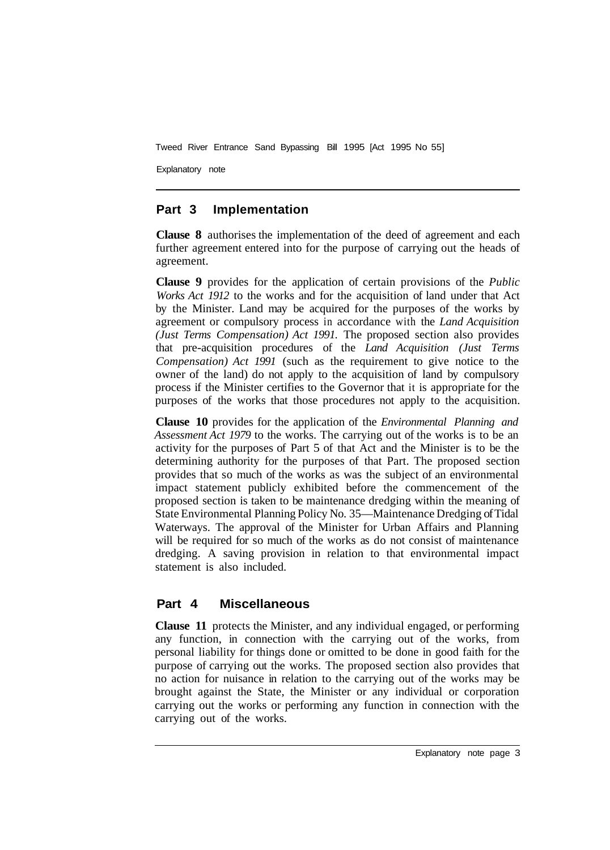Tweed River Entrance Sand Bypassing Bill 1995 [Act 1995 No 55]

Explanatory note

## **Part 3 Implementation**

**Clause 8** authorises the implementation of the deed of agreement and each further agreement entered into for the purpose of carrying out the heads of agreement.

**Clause 9** provides for the application of certain provisions of the *Public Works Act 1912* to the works and for the acquisition of land under that Act by the Minister. Land may be acquired for the purposes of the works by agreement or compulsory process in accordance with the *Land Acquisition (Just Terms Compensation) Act 1991.* The proposed section also provides that pre-acquisition procedures of the *Land Acquisition (Just Terms Compensation) Act 1991* (such as the requirement to give notice to the owner of the land) do not apply to the acquisition of land by compulsory process if the Minister certifies to the Governor that it is appropriate for the purposes of the works that those procedures not apply to the acquisition.

**Clause 10** provides for the application of the *Environmental Planning and Assessment Act 1979* to the works. The carrying out of the works is to be an activity for the purposes of Part 5 of that Act and the Minister is to be the determining authority for the purposes of that Part. The proposed section provides that so much of the works as was the subject of an environmental impact statement publicly exhibited before the commencement of the proposed section is taken to be maintenance dredging within the meaning of State Environmental Planning Policy No. 35—Maintenance Dredging of Tidal Waterways. The approval of the Minister for Urban Affairs and Planning will be required for so much of the works as do not consist of maintenance dredging. A saving provision in relation to that environmental impact statement is also included.

# **Part 4 Miscellaneous**

**Clause 11** protects the Minister, and any individual engaged, or performing any function, in connection with the carrying out of the works, from personal liability for things done or omitted to be done in good faith for the purpose of carrying out the works. The proposed section also provides that no action for nuisance in relation to the carrying out of the works may be brought against the State, the Minister or any individual or corporation carrying out the works or performing any function in connection with the carrying out of the works.